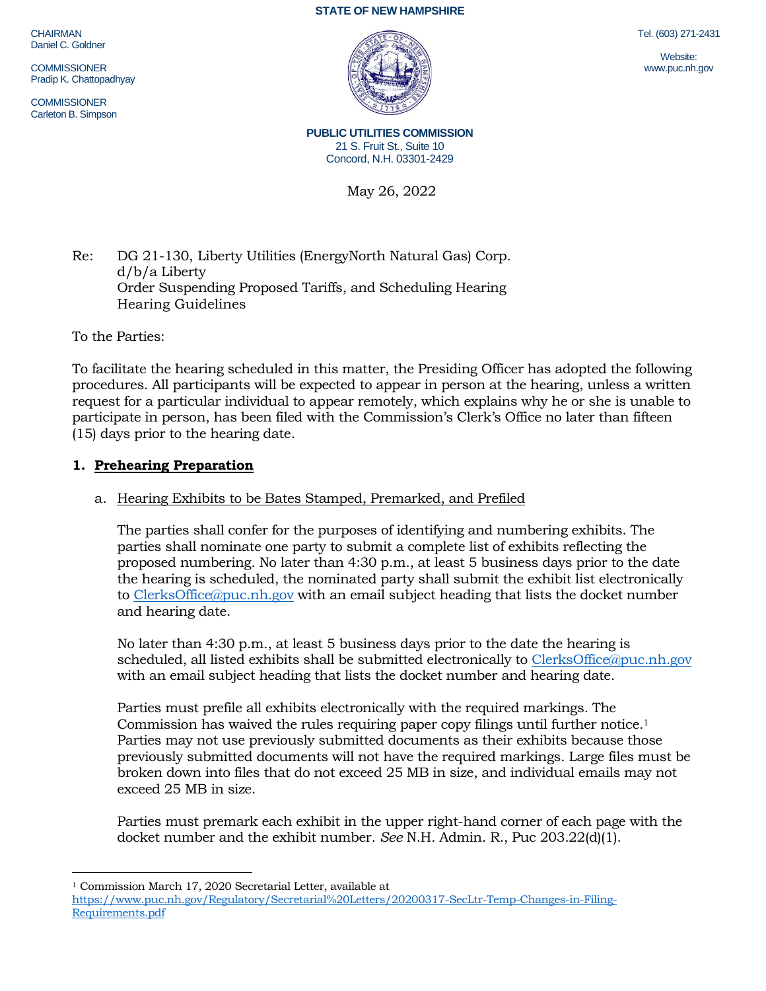**STATE OF NEW HAMPSHIRE**

**CHAIRMAN** Daniel C. Goldner

**COMMISSIONER** Pradip K. Chattopadhyay

**COMMISSIONER** Carleton B. Simpson



Tel. (603) 271-2431

Website: www.puc.nh.gov

**PUBLIC UTILITIES COMMISSION** 21 S. Fruit St., Suite 10 Concord, N.H. 03301-2429

May 26, 2022

## Re: DG 21-130, Liberty Utilities (EnergyNorth Natural Gas) Corp. d/b/a Liberty Order Suspending Proposed Tariffs, and Scheduling Hearing Hearing Guidelines

To the Parties:

To facilitate the hearing scheduled in this matter, the Presiding Officer has adopted the following procedures. All participants will be expected to appear in person at the hearing, unless a written request for a particular individual to appear remotely, which explains why he or she is unable to participate in person, has been filed with the Commission's Clerk's Office no later than fifteen (15) days prior to the hearing date.

## **1. Prehearing Preparation**

### a. Hearing Exhibits to be Bates Stamped, Premarked, and Prefiled

The parties shall confer for the purposes of identifying and numbering exhibits. The parties shall nominate one party to submit a complete list of exhibits reflecting the proposed numbering. No later than 4:30 p.m., at least 5 business days prior to the date the hearing is scheduled, the nominated party shall submit the exhibit list electronically to [ClerksOffice@puc.nh.gov](mailto:ClerksOffice@puc.nh.gov) with an email subject heading that lists the docket number and hearing date.

No later than 4:30 p.m., at least 5 business days prior to the date the hearing is scheduled, all listed exhibits shall be submitted electronically to [ClerksOffice@puc.nh.gov](mailto:Clerks.Office@puc.nh.gov) with an email subject heading that lists the docket number and hearing date.

Parties must prefile all exhibits electronically with the required markings. The Commission has waived the rules requiring paper copy filings until further notice. 1 Parties may not use previously submitted documents as their exhibits because those previously submitted documents will not have the required markings. Large files must be broken down into files that do not exceed 25 MB in size, and individual emails may not exceed 25 MB in size.

Parties must premark each exhibit in the upper right-hand corner of each page with the docket number and the exhibit number. *See* N.H. Admin. R., Puc 203.22(d)(1).

<sup>1</sup> Commission March 17, 2020 Secretarial Letter, available at

[https://www.puc.nh.gov/Regulatory/Secretarial%20Letters/20200317-SecLtr-Temp-Changes-in-Filing-](https://www.puc.nh.gov/Regulatory/Secretarial%20Letters/20200317-SecLtr-Temp-Changes-in-Filing-Requirements.pdf)[Requirements.pdf](https://www.puc.nh.gov/Regulatory/Secretarial%20Letters/20200317-SecLtr-Temp-Changes-in-Filing-Requirements.pdf)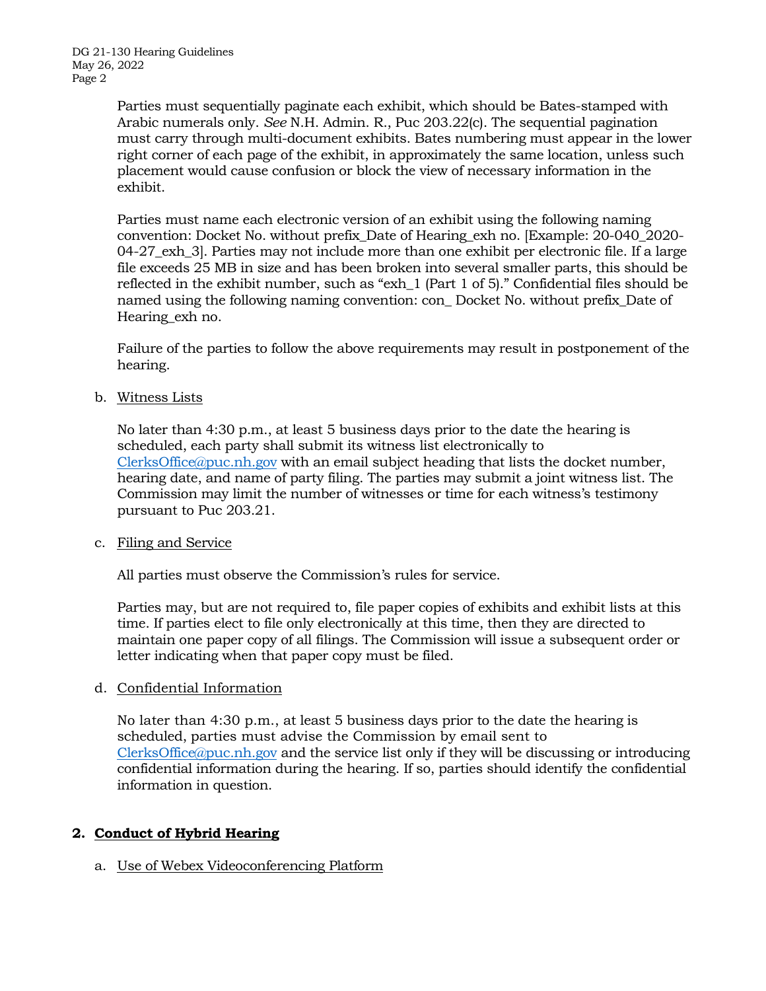Parties must sequentially paginate each exhibit, which should be Bates-stamped with Arabic numerals only. *See* N.H. Admin. R., Puc 203.22(c). The sequential pagination must carry through multi-document exhibits. Bates numbering must appear in the lower right corner of each page of the exhibit, in approximately the same location, unless such placement would cause confusion or block the view of necessary information in the exhibit.

Parties must name each electronic version of an exhibit using the following naming convention: Docket No. without prefix\_Date of Hearing\_exh no. [Example: 20-040\_2020- 04-27 exh 3. Parties may not include more than one exhibit per electronic file. If a large file exceeds 25 MB in size and has been broken into several smaller parts, this should be reflected in the exhibit number, such as "exh\_1 (Part 1 of 5)." Confidential files should be named using the following naming convention: con\_ Docket No. without prefix\_Date of Hearing\_exh no.

Failure of the parties to follow the above requirements may result in postponement of the hearing.

b. Witness Lists

No later than 4:30 p.m., at least 5 business days prior to the date the hearing is scheduled, each party shall submit its witness list electronically to [ClerksOffice@puc.nh.gov](mailto:Clerks.Office@puc.nh.gov) with an email subject heading that lists the docket number, hearing date, and name of party filing. The parties may submit a joint witness list. The Commission may limit the number of witnesses or time for each witness's testimony pursuant to Puc 203.21.

c. Filing and Service

All parties must observe the Commission's rules for service.

Parties may, but are not required to, file paper copies of exhibits and exhibit lists at this time. If parties elect to file only electronically at this time, then they are directed to maintain one paper copy of all filings. The Commission will issue a subsequent order or letter indicating when that paper copy must be filed.

### d. Confidential Information

No later than 4:30 p.m., at least 5 business days prior to the date the hearing is scheduled, parties must advise the Commission by email sent to [ClerksOffice@puc.nh.gov](mailto:Clerks.Office@puc.nh.gov) and the service list only if they will be discussing or introducing confidential information during the hearing. If so, parties should identify the confidential information in question.

# **2. Conduct of Hybrid Hearing**

a. Use of Webex Videoconferencing Platform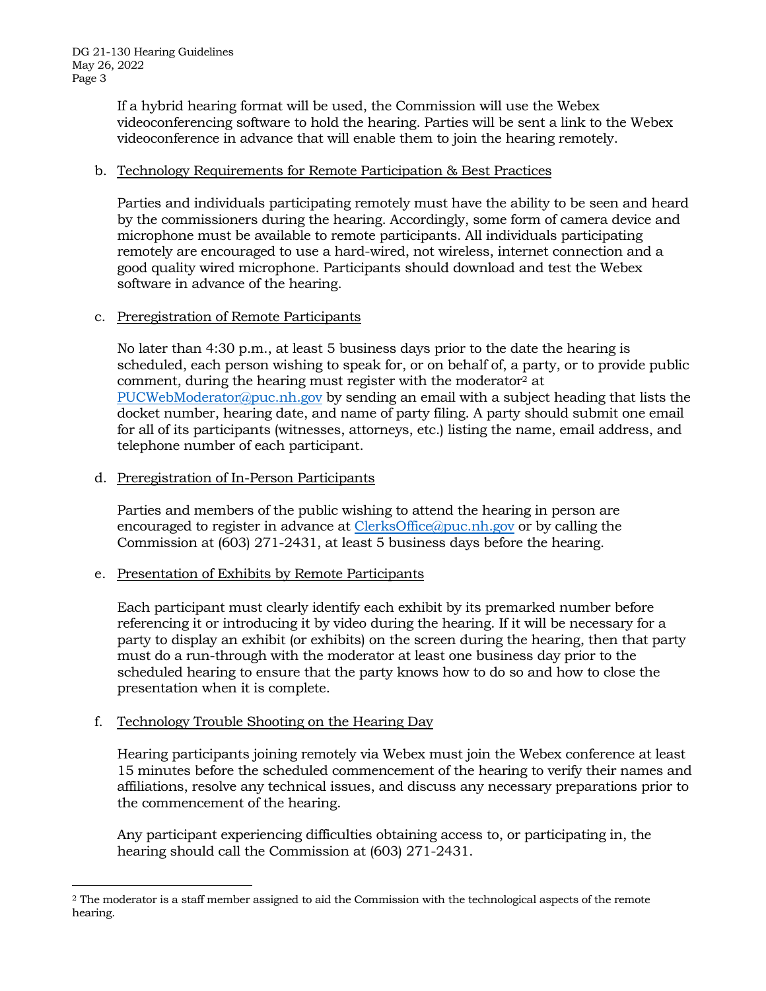If a hybrid hearing format will be used, the Commission will use the Webex videoconferencing software to hold the hearing. Parties will be sent a link to the Webex videoconference in advance that will enable them to join the hearing remotely.

### b. Technology Requirements for Remote Participation & Best Practices

Parties and individuals participating remotely must have the ability to be seen and heard by the commissioners during the hearing. Accordingly, some form of camera device and microphone must be available to remote participants. All individuals participating remotely are encouraged to use a hard-wired, not wireless, internet connection and a good quality wired microphone. Participants should download and test the Webex software in advance of the hearing.

### c. Preregistration of Remote Participants

No later than 4:30 p.m., at least 5 business days prior to the date the hearing is scheduled, each person wishing to speak for, or on behalf of, a party, or to provide public comment, during the hearing must register with the moderator<sup>2</sup> at [PUCWebModerator@puc.nh.gov](mailto:PUCWebModerator@puc.nh.gov) by sending an email with a subject heading that lists the docket number, hearing date, and name of party filing. A party should submit one email for all of its participants (witnesses, attorneys, etc.) listing the name, email address, and telephone number of each participant.

#### d. Preregistration of In-Person Participants

Parties and members of the public wishing to attend the hearing in person are encouraged to register in advance at [ClerksOffice@puc.nh.gov](mailto:Clerks.Office@puc.nh.gov) or by calling the Commission at (603) 271-2431, at least 5 business days before the hearing.

### e. Presentation of Exhibits by Remote Participants

Each participant must clearly identify each exhibit by its premarked number before referencing it or introducing it by video during the hearing. If it will be necessary for a party to display an exhibit (or exhibits) on the screen during the hearing, then that party must do a run-through with the moderator at least one business day prior to the scheduled hearing to ensure that the party knows how to do so and how to close the presentation when it is complete.

### f. Technology Trouble Shooting on the Hearing Day

Hearing participants joining remotely via Webex must join the Webex conference at least 15 minutes before the scheduled commencement of the hearing to verify their names and affiliations, resolve any technical issues, and discuss any necessary preparations prior to the commencement of the hearing.

Any participant experiencing difficulties obtaining access to, or participating in, the hearing should call the Commission at (603) 271-2431.

<sup>2</sup> The moderator is a staff member assigned to aid the Commission with the technological aspects of the remote hearing.